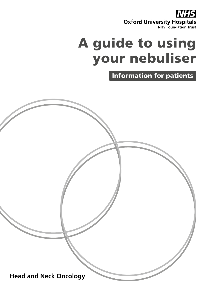**Oxford University Hospitals** 

# A guide to using your nebuliser

Information for patients

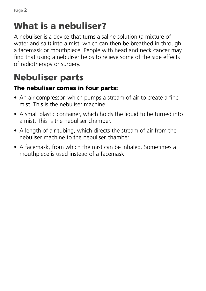### What is a nebuliser?

A nebuliser is a device that turns a saline solution (a mixture of water and salt) into a mist, which can then be breathed in through a facemask or mouthpiece. People with head and neck cancer may find that using a nebuliser helps to relieve some of the side effects of radiotherapy or surgery.

# Nebuliser parts

#### The nebuliser comes in four parts:

- An air compressor, which pumps a stream of air to create a fine mist. This is the nebuliser machine.
- A small plastic container, which holds the liquid to be turned into a mist. This is the nebuliser chamber.
- A length of air tubing, which directs the stream of air from the nebuliser machine to the nebuliser chamber.
- A facemask, from which the mist can be inhaled. Sometimes a mouthpiece is used instead of a facemask.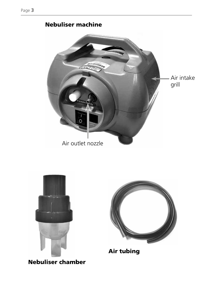

#### Nebuliser machine



Air tubing

Nebuliser chamber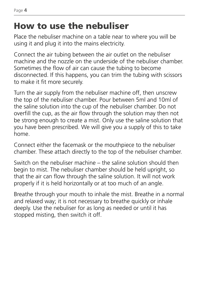### How to use the nebuliser

Place the nebuliser machine on a table near to where you will be using it and plug it into the mains electricity.

Connect the air tubing between the air outlet on the nebuliser machine and the nozzle on the underside of the nebuliser chamber. Sometimes the flow of air can cause the tubing to become disconnected. If this happens, you can trim the tubing with scissors to make it fit more securely.

Turn the air supply from the nebuliser machine off, then unscrew the top of the nebuliser chamber. Pour between 5ml and 10ml of the saline solution into the cup of the nebuliser chamber. Do not overfill the cup, as the air flow through the solution may then not be strong enough to create a mist. Only use the saline solution that you have been prescribed. We will give you a supply of this to take home.

Connect either the facemask or the mouthpiece to the nebuliser chamber. These attach directly to the top of the nebuliser chamber.

Switch on the nebuliser machine – the saline solution should then begin to mist. The nebuliser chamber should be held upright, so that the air can flow through the saline solution. It will not work properly if it is held horizontally or at too much of an angle.

Breathe through your mouth to inhale the mist. Breathe in a normal and relaxed way; it is not necessary to breathe quickly or inhale deeply. Use the nebuliser for as long as needed or until it has stopped misting, then switch it off.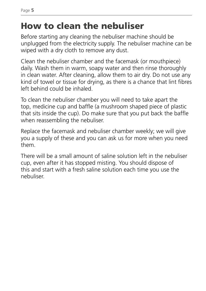### How to clean the nebuliser

Before starting any cleaning the nebuliser machine should be unplugged from the electricity supply. The nebuliser machine can be wiped with a dry cloth to remove any dust.

Clean the nebuliser chamber and the facemask (or mouthpiece) daily. Wash them in warm, soapy water and then rinse thoroughly in clean water. After cleaning, allow them to air dry. Do not use any kind of towel or tissue for drying, as there is a chance that lint fibres left behind could be inhaled.

To clean the nebuliser chamber you will need to take apart the top, medicine cup and baffle (a mushroom shaped piece of plastic that sits inside the cup). Do make sure that you put back the baffle when reassembling the nebuliser.

Replace the facemask and nebuliser chamber weekly; we will give you a supply of these and you can ask us for more when you need them.

There will be a small amount of saline solution left in the nebuliser cup, even after it has stopped misting. You should dispose of this and start with a fresh saline solution each time you use the nebuliser.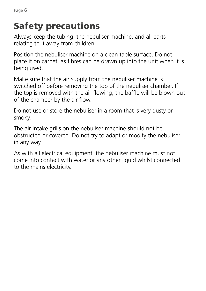# Safety precautions

Always keep the tubing, the nebuliser machine, and all parts relating to it away from children.

Position the nebuliser machine on a clean table surface. Do not place it on carpet, as fibres can be drawn up into the unit when it is being used.

Make sure that the air supply from the nebuliser machine is switched off before removing the top of the nebuliser chamber. If the top is removed with the air flowing, the baffle will be blown out of the chamber by the air flow.

Do not use or store the nebuliser in a room that is very dusty or smoky.

The air intake grills on the nebuliser machine should not be obstructed or covered. Do not try to adapt or modify the nebuliser in any way.

As with all electrical equipment, the nebuliser machine must not come into contact with water or any other liquid whilst connected to the mains electricity.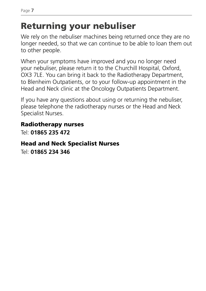## Returning your nebuliser

We rely on the nebuliser machines being returned once they are no longer needed, so that we can continue to be able to loan them out to other people.

When your symptoms have improved and you no longer need your nebuliser, please return it to the Churchill Hospital, Oxford, OX3 7LE. You can bring it back to the Radiotherapy Department, to Blenheim Outpatients, or to your follow-up appointment in the Head and Neck clinic at the Oncology Outpatients Department.

If you have any questions about using or returning the nebuliser, please telephone the radiotherapy nurses or the Head and Neck Specialist Nurses.

#### Radiotherapy nurses

Tel: **01865 235 472**

#### Head and Neck Specialist Nurses

Tel: **01865 234 346**